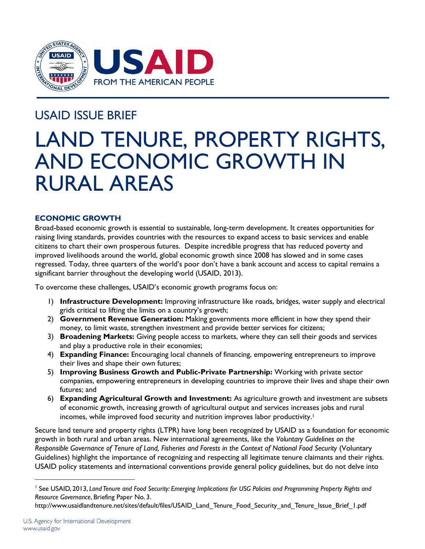

## USAID ISSUE BRIEF

# LAND TENURE, PROPERTY RIGHTS, AND ECONOMIC GROWTH IN RURAL AREAS

## **ECONOMIC GROWTH**

Broad-based economic growth is essential to sustainable, long-term development. It creates opportunities for raising living standards, provides countries with the resources to expand access to basic services and enable citizens to chart their own prosperous futures. Despite incredible progress that has reduced poverty and improved livelihoods around the world, global economic growth since 2008 has slowed and in some cases regressed. Today, three quarters of the world's poor don't have a bank account and access to capital remains a significant barrier throughout the developing world (USAID, 2013).

To overcome these challenges, USAID's economic growth programs focus on:

- 1) **Infrastructure Development:** Improving infrastructure like roads, bridges, water supply and electrical grids critical to lifting the limits on a country's growth;
- 2) **Government Revenue Generation:** Making governments more efficient in how they spend their money, to limit waste, strengthen investment and provide better services for citizens;
- 3) **Broadening Markets:** Giving people access to markets, where they can sell their goods and services and play a productive role in their economies;
- 4) **Expanding Finance:** Encouraging local channels of financing, empowering entrepreneurs to improve their lives and shape their own futures;
- 5) **Improving Business Growth and Public-Private Partnership:** Working with private sector companies, empowering entrepreneurs in developing countries to improve their lives and shape their own futures; and
- 6) **Expanding Agricultural Growth and Investment:** As agriculture growth and investment are subsets of economic growth, increasing growth of agricultural output and services increases jobs and rural incomes, while improved food security and nutrition improves labor productivity.<sup>1</sup>

Secure land tenure and property rights (LTPR) have long been recognized by USAID as a foundation for economic growth in both rural and urban areas. New international agreements, like the *Voluntary Guidelines on the Responsible Governance of Tenure of Land, Fisheries and Forests in the Context of National Food Security* (Voluntary Guidelines) highlight the importance of recognizing and respecting all legitimate tenure claimants and their rights. USAID policy statements and international conventions provide general policy guidelines, but do not delve into

<sup>1</sup> See USAID, 2013, *Land Tenure and Food Security: Emerging Implications for USG Policies and Programming Property Rights and Resource Governance*, Briefing Paper No. 3.

http://www.usaidlandtenure.net/sites/default/files/USAID\_Land\_Tenure\_Food\_Security\_and\_Tenure\_Issue\_Brief\_1.pdf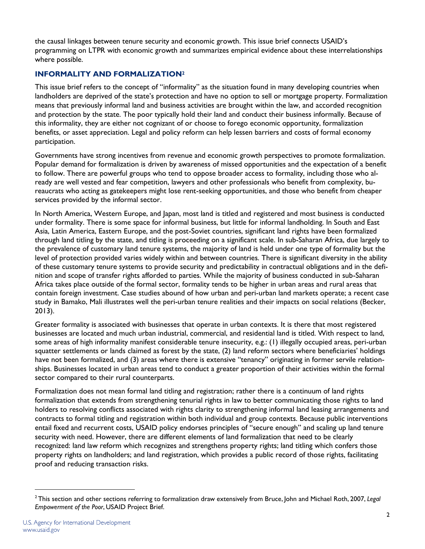the causal linkages between tenure security and economic growth. This issue brief connects USAID's programming on LTPR with economic growth and summarizes empirical evidence about these interrelationships where possible.

## **INFORMALITY AND FORMALIZATION<sup>2</sup>**

This issue brief refers to the concept of "informality" as the situation found in many developing countries when landholders are deprived of the state's protection and have no option to sell or mortgage property. Formalization means that previously informal land and business activities are brought within the law, and accorded recognition and protection by the state. The poor typically hold their land and conduct their business informally. Because of this informality, they are either not cognizant of or choose to forego economic opportunity, formalization benefits, or asset appreciation. Legal and policy reform can help lessen barriers and costs of formal economy participation.

Governments have strong incentives from revenue and economic growth perspectives to promote formalization. Popular demand for formalization is driven by awareness of missed opportunities and the expectation of a benefit to follow. There are powerful groups who tend to oppose broader access to formality, including those who already are well vested and fear competition, lawyers and other professionals who benefit from complexity, bureaucrats who acting as gatekeepers might lose rent-seeking opportunities, and those who benefit from cheaper services provided by the informal sector.

In North America, Western Europe, and Japan, most land is titled and registered and most business is conducted under formality. There is some space for informal business, but little for informal landholding. In South and East Asia, Latin America, Eastern Europe, and the post-Soviet countries, significant land rights have been formalized through land titling by the state, and titling is proceeding on a significant scale. In sub-Saharan Africa, due largely to the prevalence of customary land tenure systems, the majority of land is held under one type of formality but the level of protection provided varies widely within and between countries. There is significant diversity in the ability of these customary tenure systems to provide security and predictability in contractual obligations and in the definition and scope of transfer rights afforded to parties. While the majority of business conducted in sub-Saharan Africa takes place outside of the formal sector, formality tends to be higher in urban areas and rural areas that contain foreign investment. Case studies abound of how urban and peri-urban land markets operate; a recent case study in Bamako, Mali illustrates well the peri-urban tenure realities and their impacts on social relations (Becker, 2013).

Greater formality is associated with businesses that operate in urban contexts. It is there that most registered businesses are located and much urban industrial, commercial, and residential land is titled. With respect to land, some areas of high informality manifest considerable tenure insecurity, e.g.: (1) illegally occupied areas, peri-urban squatter settlements or lands claimed as forest by the state, (2) land reform sectors where beneficiaries' holdings have not been formalized, and (3) areas where there is extensive "tenancy" originating in former servile relationships. Businesses located in urban areas tend to conduct a greater proportion of their activities within the formal sector compared to their rural counterparts.

Formalization does not mean formal land titling and registration; rather there is a continuum of land rights formalization that extends from strengthening tenurial rights in law to better communicating those rights to land holders to resolving conflicts associated with rights clarity to strengthening informal land leasing arrangements and contracts to formal titling and registration within both individual and group contexts. Because public interventions entail fixed and recurrent costs, USAID policy endorses principles of "secure enough" and scaling up land tenure security with need. However, there are different elements of land formalization that need to be clearly recognized: land law reform which recognizes and strengthens property rights; land titling which confers those property rights on landholders; and land registration, which provides a public record of those rights, facilitating proof and reducing transaction risks.

 $\overline{a}$ 

<sup>2</sup> This section and other sections referring to formalization draw extensively from Bruce, John and Michael Roth, 2007, *Legal Empowerment of the Poor*, USAID Project Brief.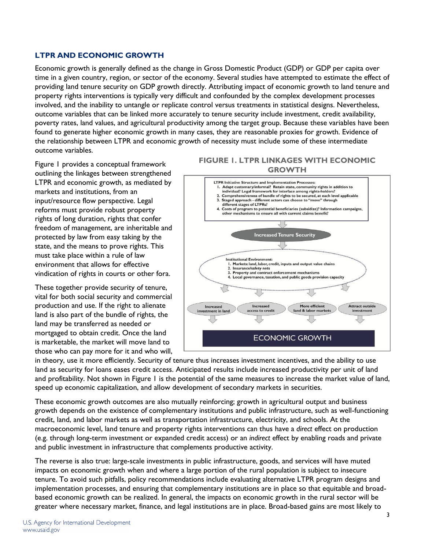## **LTPR AND ECONOMIC GROWTH**

Economic growth is generally defined as the change in Gross Domestic Product (GDP) or GDP per capita over time in a given country, region, or sector of the economy. Several studies have attempted to estimate the effect of providing land tenure security on GDP growth directly. Attributing impact of economic growth to land tenure and property rights interventions is typically very difficult and confounded by the complex development processes involved, and the inability to untangle or replicate control versus treatments in statistical designs. Nevertheless, outcome variables that can be linked more accurately to tenure security include investment, credit availability, poverty rates, land values, and agricultural productivity among the target group. Because these variables have been found to generate higher economic growth in many cases, they are reasonable proxies for growth. Evidence of the relationship between LTPR and economic growth of necessity must include some of these intermediate outcome variables.

Figure 1 provides a conceptual framework outlining the linkages between strengthened LTPR and economic growth, as mediated by markets and institutions, from an input/resource flow perspective. Legal reforms must provide robust property rights of long duration, rights that confer freedom of management, are inheritable and protected by law from easy taking by the state, and the means to prove rights. This must take place within a rule of law environment that allows for effective vindication of rights in courts or other fora.

These together provide security of tenure, vital for both social security and commercial production and use. If the right to alienate land is also part of the bundle of rights, the land may be transferred as needed or mortgaged to obtain credit. Once the land is marketable, the market will move land to those who can pay more for it and who will,

#### **FIGURE 1. LTPR LINKAGES WITH ECONOMIC GROWTH**



in theory, use it more efficiently. Security of tenure thus increases investment incentives, and the ability to use land as security for loans eases credit access. Anticipated results include increased productivity per unit of land and profitability. Not shown in Figure 1 is the potential of the same measures to increase the market value of land, speed up economic capitalization, and allow development of secondary markets in securities.

These economic growth outcomes are also mutually reinforcing; growth in agricultural output and business growth depends on the existence of complementary institutions and public infrastructure, such as well-functioning credit, land, and labor markets as well as transportation infrastructure, electricity, and schools. At the macroeconomic level, land tenure and property rights interventions can thus have a *direct* effect on production (e.g. through long-term investment or expanded credit access) or an *indirect* effect by enabling roads and private and public investment in infrastructure that complements productive activity.

The reverse is also true: large-scale investments in public infrastructure, goods, and services will have muted impacts on economic growth when and where a large portion of the rural population is subject to insecure tenure. To avoid such pitfalls, policy recommendations include evaluating alternative LTPR program designs and implementation processes, and ensuring that complementary institutions are in place so that equitable and broadbased economic growth can be realized. In general, the impacts on economic growth in the rural sector will be greater where necessary market, finance, and legal institutions are in place. Broad-based gains are most likely to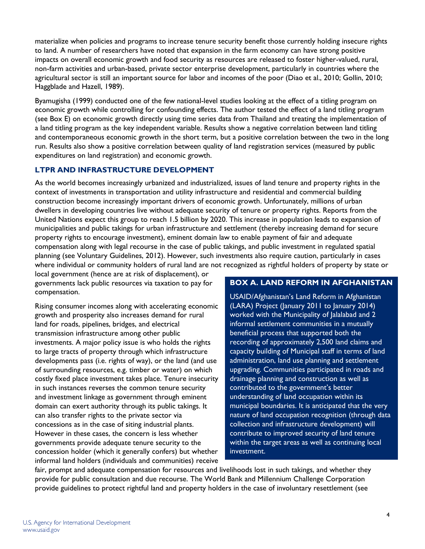materialize when policies and programs to increase tenure security benefit those currently holding insecure rights to land. A number of researchers have noted that expansion in the farm economy can have strong positive impacts on overall economic growth and food security as resources are released to foster higher-valued, rural, non-farm activities and urban-based, private sector enterprise development, particularly in countries where the agricultural sector is still an important source for labor and incomes of the poor (Diao et al., 2010; Gollin, 2010; Haggblade and Hazell, 1989).

Byamugisha (1999) conducted one of the few national-level studies looking at the effect of a titling program on economic growth while controlling for confounding effects. The author tested the effect of a land titling program (see Box E) on economic growth directly using time series data from Thailand and treating the implementation of a land titling program as the key independent variable. Results show a negative correlation between land titling and contemporaneous economic growth in the short term, but a positive correlation between the two in the long run. Results also show a positive correlation between quality of land registration services (measured by public expenditures on land registration) and economic growth.

## **LTPR AND INFRASTRUCTURE DEVELOPMENT**

As the world becomes increasingly urbanized and industrialized, issues of land tenure and property rights in the context of investments in transportation and utility infrastructure and residential and commercial building construction become increasingly important drivers of economic growth. Unfortunately, millions of urban dwellers in developing countries live without adequate security of tenure or property rights. Reports from the United Nations expect this group to reach 1.5 billion by 2020. This increase in population leads to expansion of municipalities and public takings for urban infrastructure and settlement (thereby increasing demand for secure property rights to encourage investment), eminent domain law to enable payment of fair and adequate compensation along with legal recourse in the case of public takings, and public investment in regulated spatial planning (see Voluntary Guidelines, 2012). However, such investments also require caution, particularly in cases where individual or community holders of rural land are not recognized as rightful holders of property by state or

local government (hence are at risk of displacement), or governments lack public resources via taxation to pay for compensation.

Rising consumer incomes along with accelerating economic growth and prosperity also increases demand for rural land for roads, pipelines, bridges, and electrical transmission infrastructure among other public investments. A major policy issue is who holds the rights to large tracts of property through which infrastructure developments pass (i.e. rights of way), or the land (and use of surrounding resources, e.g. timber or water) on which costly fixed place investment takes place. Tenure insecurity in such instances reverses the common tenure security and investment linkage as government through eminent domain can exert authority through its public takings. It can also transfer rights to the private sector via concessions as in the case of siting industrial plants. However in these cases, the concern is less whether governments provide adequate tenure security to the concession holder (which it generally confers) but whether informal land holders (individuals and communities) receive

## **BOX A. LAND REFORM IN AFGHANISTAN**

USAID/Afghanistan's Land Reform in Afghanistan (LARA) Project (January 2011 to January 2014) worked with the Municipality of Jalalabad and 2 informal settlement communities in a mutually beneficial process that supported both the recording of approximately 2,500 land claims and capacity building of Municipal staff in terms of land administration, land use planning and settlement upgrading. Communities participated in roads and drainage planning and construction as well as contributed to the government's better understanding of land occupation within its municipal boundaries. It is anticipated that the very nature of land occupation recognition (through data collection and infrastructure development) will contribute to improved security of land tenure within the target areas as well as continuing local investment.

fair, prompt and adequate compensation for resources and livelihoods lost in such takings, and whether they provide for public consultation and due recourse. The World Bank and Millennium Challenge Corporation provide guidelines to protect rightful land and property holders in the case of involuntary resettlement (see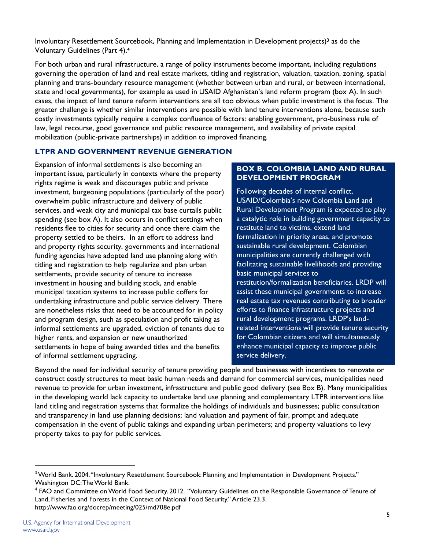Involuntary Resettlement Sourcebook, Planning and Implementation in Development projects)3 as do the Voluntary Guidelines (Part 4).<sup>4</sup>

For both urban and rural infrastructure, a range of policy instruments become important, including regulations governing the operation of land and real estate markets, titling and registration, valuation, taxation, zoning, spatial planning and trans-boundary resource management (whether between urban and rural, or between international, state and local governments), for example as used in USAID Afghanistan's land reform program (box A). In such cases, the impact of land tenure reform interventions are all too obvious when public investment is the focus. The greater challenge is whether similar interventions are possible with land tenure interventions alone, because such costly investments typically require a complex confluence of factors: enabling government, pro-business rule of law, legal recourse, good governance and public resource management, and availability of private capital mobilization (public-private partnerships) in addition to improved financing.

## **LTPR AND GOVERNMENT REVENUE GENERATION**

Expansion of informal settlements is also becoming an important issue, particularly in contexts where the property rights regime is weak and discourages public and private investment, burgeoning populations (particularly of the poor) overwhelm public infrastructure and delivery of public services, and weak city and municipal tax base curtails public spending (see box A). It also occurs in conflict settings when residents flee to cities for security and once there claim the property settled to be theirs. In an effort to address land and property rights security, governments and international funding agencies have adopted land use planning along with titling and registration to help regularize and plan urban settlements, provide security of tenure to increase investment in housing and building stock, and enable municipal taxation systems to increase public coffers for undertaking infrastructure and public service delivery. There are nonetheless risks that need to be accounted for in policy and program design, such as speculation and profit taking as informal settlements are upgraded, eviction of tenants due to higher rents, and expansion or new unauthorized settlements in hope of being awarded titles and the benefits of informal settlement upgrading.

## **BOX B. COLOMBIA LAND AND RURAL DEVELOPMENT PROGRAM**

Following decades of internal conflict, USAID/Colombia's new Colombia Land and Rural Development Program is expected to play a catalytic role in building government capacity to restitute land to victims, extend land formalization in priority areas, and promote sustainable rural development. Colombian municipalities are currently challenged with facilitating sustainable livelihoods and providing basic municipal services to restitution/formalization beneficiaries. LRDP will assist these municipal governments to increase real estate tax revenues contributing to broader efforts to finance infrastructure projects and rural development programs. LRDP's landrelated interventions will provide tenure security for Colombian citizens and will simultaneously enhance municipal capacity to improve public service delivery.

Beyond the need for individual security of tenure providing people and businesses with incentives to renovate or construct costly structures to meet basic human needs and demand for commercial services, municipalities need revenue to provide for urban investment, infrastructure and public good delivery (see Box B). Many municipalities in the developing world lack capacity to undertake land use planning and complementary LTPR interventions like land titling and registration systems that formalize the holdings of individuals and businesses; public consultation and transparency in land use planning decisions; land valuation and payment of fair, prompt and adequate compensation in the event of public takings and expanding urban perimeters; and property valuations to levy property takes to pay for public services.

 $\overline{a}$ 

<sup>&</sup>lt;sup>3</sup> World Bank. 2004. "Involuntary Resettlement Sourcebook: Planning and Implementation in Development Projects." Washington DC: The World Bank.

<sup>4</sup> FAO and Committee on World Food Security. 2012. "Voluntary Guidelines on the Responsible Governance of Tenure of Land, Fisheries and Forests in the Context of National Food Security." Article 23.3. http://www.fao.org/docrep/meeting/025/md708e.pdf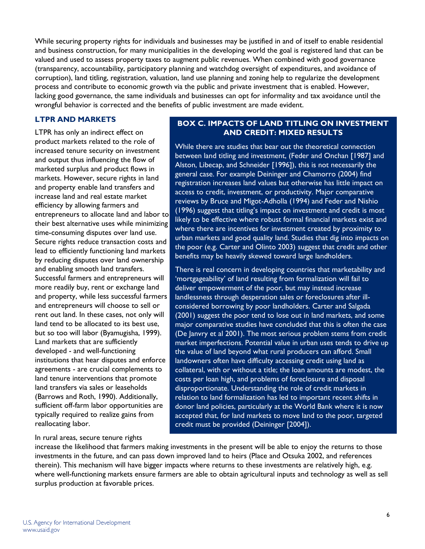While securing property rights for individuals and businesses may be justified in and of itself to enable residential and business construction, for many municipalities in the developing world the goal is registered land that can be valued and used to assess property taxes to augment public revenues. When combined with good governance (transparency, accountability, participatory planning and watchdog oversight of expenditures, and avoidance of corruption), land titling, registration, valuation, land use planning and zoning help to regularize the development process and contribute to economic growth via the public and private investment that is enabled. However, lacking good governance, the same individuals and businesses can opt for informality and tax avoidance until the wrongful behavior is corrected and the benefits of public investment are made evident.

## **LTPR AND MARKETS**

LTPR has only an indirect effect on product markets related to the role of increased tenure security on investment and output thus influencing the flow of marketed surplus and product flows in markets. However, secure rights in land and property enable land transfers and increase land and real estate market efficiency by allowing farmers and entrepreneurs to allocate land and labor to their best alternative uses while minimizing time-consuming disputes over land use. Secure rights reduce transaction costs and lead to efficiently functioning land markets by reducing disputes over land ownership and enabling smooth land transfers. Successful farmers and entrepreneurs will more readily buy, rent or exchange land and property, while less successful farmers and entrepreneurs will choose to sell or rent out land. In these cases, not only will land tend to be allocated to its best use, but so too will labor (Byamugisha, 1999). Land markets that are sufficiently developed - and well-functioning institutions that hear disputes and enforce agreements - are crucial complements to land tenure interventions that promote land transfers via sales or leaseholds (Barrows and Roth, 1990). Additionally, sufficient off-farm labor opportunities are typically required to realize gains from reallocating labor.

#### **BOX C. IMPACTS OF LAND TITLING ON INVESTMENT AND CREDIT: MIXED RESULTS**

While there are studies that bear out the theoretical connection between land titling and investment, (Feder and Onchan [1987] and Alston, Libecap, and Schneider [1996]), this is not necessarily the general case. For example Deininger and Chamorro (2004) find registration increases land values but otherwise has little impact on access to credit, investment, or productivity. Major comparative reviews by Bruce and Migot-Adholla (1994) and Feder and Nishio (1996) suggest that titling's impact on investment and credit is most likely to be effective where robust formal financial markets exist and where there are incentives for investment created by proximity to urban markets and good quality land. Studies that dig into impacts on the poor (e.g. Carter and Olinto 2003) suggest that credit and other benefits may be heavily skewed toward large landholders.

There is real concern in developing countries that marketability and 'mortgageability' of land resulting from formalization will fail to deliver empowerment of the poor, but may instead increase landlessness through desperation sales or foreclosures after illconsidered borrowing by poor landholders. Carter and Salgada (2001) suggest the poor tend to lose out in land markets, and some major comparative studies have concluded that this is often the case (De Janvry et al 2001). The most serious problem stems from credit market imperfections. Potential value in urban uses tends to drive up the value of land beyond what rural producers can afford. Small landowners often have difficulty accessing credit using land as collateral, with or without a title; the loan amounts are modest, the costs per loan high, and problems of foreclosure and disposal disproportionate. Understanding the role of credit markets in relation to land formalization has led to important recent shifts in donor land policies, particularly at the World Bank where it is now accepted that, for land markets to move land to the poor, targeted credit must be provided (Deininger [2004]).

#### In rural areas, secure tenure rights

increase the likelihood that farmers making investments in the present will be able to enjoy the returns to those investments in the future, and can pass down improved land to heirs (Place and Otsuka 2002, and references therein). This mechanism will have bigger impacts where returns to these investments are relatively high, e.g. where well-functioning markets ensure farmers are able to obtain agricultural inputs and technology as well as sell surplus production at favorable prices.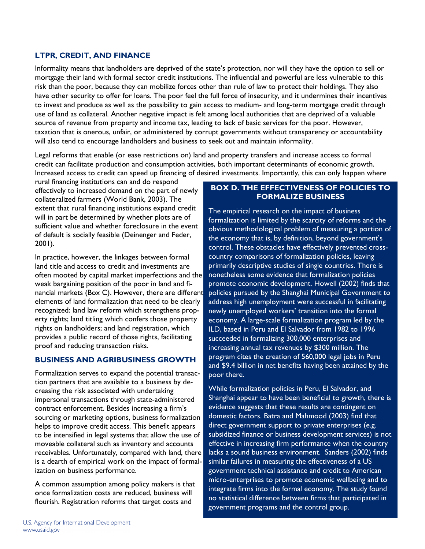## **LTPR, CREDIT, AND FINANCE**

Informality means that landholders are deprived of the state's protection, nor will they have the option to sell or mortgage their land with formal sector credit institutions. The influential and powerful are less vulnerable to this risk than the poor, because they can mobilize forces other than rule of law to protect their holdings. They also have other security to offer for loans. The poor feel the full force of insecurity, and it undermines their incentives to invest and produce as well as the possibility to gain access to medium- and long-term mortgage credit through use of land as collateral. Another negative impact is felt among local authorities that are deprived of a valuable source of revenue from property and income tax, leading to lack of basic services for the poor. However, taxation that is onerous, unfair, or administered by corrupt governments without transparency or accountability will also tend to encourage landholders and business to seek out and maintain informality.

Legal reforms that enable (or ease restrictions on) land and property transfers and increase access to formal credit can facilitate production and consumption activities, both important determinants of economic growth. Increased access to credit can speed up financing of desired investments. Importantly, this can only happen where

rural financing institutions can and do respond effectively to increased demand on the part of newly collateralized farmers (World Bank, 2003). The extent that rural financing institutions expand credit will in part be determined by whether plots are of sufficient value and whether foreclosure in the event of default is socially feasible (Deinenger and Feder, 2001).

In practice, however, the linkages between formal land title and access to credit and investments are often mooted by capital market imperfections and the weak bargaining position of the poor in land and financial markets (Box C). However, there are different elements of land formalization that need to be clearly recognized: land law reform which strengthens property rights; land titling which confers those property rights on landholders; and land registration, which provides a public record of those rights, facilitating proof and reducing transaction risks.

#### **BUSINESS AND AGRIBUSINESS GROWTH**

Formalization serves to expand the potential transaction partners that are available to a business by decreasing the risk associated with undertaking impersonal transactions through state-administered contract enforcement. Besides increasing a firm's sourcing or marketing options, business formalization helps to improve credit access. This benefit appears to be intensified in legal systems that allow the use of moveable collateral such as inventory and accounts receivables. Unfortunately, compared with land, there is a dearth of empirical work on the impact of formalization on business performance.

A common assumption among policy makers is that once formalization costs are reduced, business will flourish. Registration reforms that target costs and

## **BOX D. THE EFFECTIVENESS OF POLICIES TO FORMALIZE BUSINESS**

The empirical research on the impact of business formalization is limited by the scarcity of reforms and the obvious methodological problem of measuring a portion of the economy that is, by definition, beyond government's control. These obstacles have effectively prevented crosscountry comparisons of formalization policies, leaving primarily descriptive studies of single countries. There is nonetheless some evidence that formalization policies promote economic development. Howell (2002) finds that policies pursued by the Shanghai Municipal Government to address high unemployment were successful in facilitating newly unemployed workers' transition into the formal economy. A large-scale formalization program led by the ILD, based in Peru and El Salvador from 1982 to 1996 succeeded in formalizing 300,000 enterprises and increasing annual tax revenues by \$300 million. The program cites the creation of 560,000 legal jobs in Peru and \$9.4 billion in net benefits having been attained by the poor there.

While formalization policies in Peru, El Salvador, and Shanghai appear to have been beneficial to growth, there is evidence suggests that these results are contingent on domestic factors. Batra and Mahmood (2003) find that direct government support to private enterprises (e.g. subsidized finance or business development services) is not effective in increasing firm performance when the country lacks a sound business environment. Sanders (2002) finds similar failures in measuring the effectiveness of a US government technical assistance and credit to American micro-enterprises to promote economic wellbeing and to integrate firms into the formal economy. The study found no statistical difference between firms that participated in government programs and the control group.

7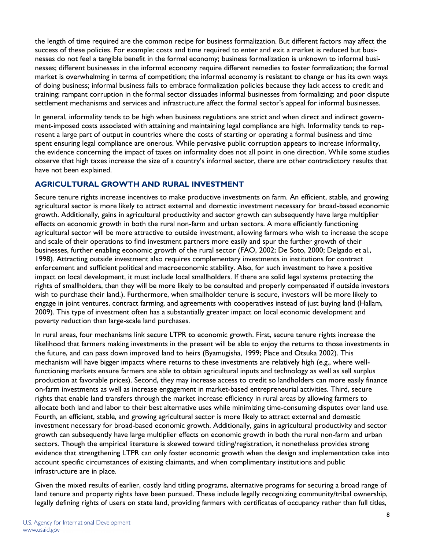the length of time required are the common recipe for business formalization. But different factors may affect the success of these policies. For example: costs and time required to enter and exit a market is reduced but businesses do not feel a tangible benefit in the formal economy; business formalization is unknown to informal businesses; different businesses in the informal economy require different remedies to foster formalization; the formal market is overwhelming in terms of competition; the informal economy is resistant to change or has its own ways of doing business; informal business fails to embrace formalization policies because they lack access to credit and training; rampant corruption in the formal sector dissuades informal businesses from formalizing; and poor dispute settlement mechanisms and services and infrastructure affect the formal sector's appeal for informal businesses.

In general, informality tends to be high when business regulations are strict and when direct and indirect government-imposed costs associated with attaining and maintaining legal compliance are high. Informality tends to represent a large part of output in countries where the costs of starting or operating a formal business and time spent ensuring legal compliance are onerous. While pervasive public corruption appears to increase informality, the evidence concerning the impact of taxes on informality does not all point in one direction. While some studies observe that high taxes increase the size of a country's informal sector, there are other contradictory results that have not been explained.

## **AGRICULTURAL GROWTH AND RURAL INVESTMENT**

Secure tenure rights increase incentives to make productive investments on farm. An efficient, stable, and growing agricultural sector is more likely to attract external and domestic investment necessary for broad-based economic growth. Additionally, gains in agricultural productivity and sector growth can subsequently have large multiplier effects on economic growth in both the rural non-farm and urban sectors. A more efficiently functioning agricultural sector will be more attractive to outside investment, allowing farmers who wish to increase the scope and scale of their operations to find investment partners more easily and spur the further growth of their businesses, further enabling economic growth of the rural sector (FAO, 2002; De Soto, 2000; Delgado et al., 1998). Attracting outside investment also requires complementary investments in institutions for contract enforcement and sufficient political and macroeconomic stability. Also, for such investment to have a positive impact on local development, it must include local smallholders. If there are solid legal systems protecting the rights of smallholders, then they will be more likely to be consulted and properly compensated if outside investors wish to purchase their land.). Furthermore, when smallholder tenure is secure, investors will be more likely to engage in joint ventures, contract farming, and agreements with cooperatives instead of just buying land (Hallam, 2009). This type of investment often has a substantially greater impact on local economic development and poverty reduction than large-scale land purchases.

In rural areas, four mechanisms link secure LTPR to economic growth. First, secure tenure rights increase the likelihood that farmers making investments in the present will be able to enjoy the returns to those investments in the future, and can pass down improved land to heirs (Byamugisha, 1999; Place and Otsuka 2002). This mechanism will have bigger impacts where returns to these investments are relatively high (e.g., where wellfunctioning markets ensure farmers are able to obtain agricultural inputs and technology as well as sell surplus production at favorable prices). Second, they may increase access to credit so landholders can more easily finance on-farm investments as well as increase engagement in market-based entrepreneurial activities. Third, secure rights that enable land transfers through the market increase efficiency in rural areas by allowing farmers to allocate both land and labor to their best alternative uses while minimizing time-consuming disputes over land use. Fourth, an efficient, stable, and growing agricultural sector is more likely to attract external and domestic investment necessary for broad-based economic growth. Additionally, gains in agricultural productivity and sector growth can subsequently have large multiplier effects on economic growth in both the rural non-farm and urban sectors. Though the empirical literature is skewed toward titling/registration, it nonetheless provides strong evidence that strengthening LTPR can only foster economic growth when the design and implementation take into account specific circumstances of existing claimants, and when complimentary institutions and public infrastructure are in place.

Given the mixed results of earlier, costly land titling programs, alternative programs for securing a broad range of land tenure and property rights have been pursued. These include legally recognizing community/tribal ownership, legally defining rights of users on state land, providing farmers with certificates of occupancy rather than full titles,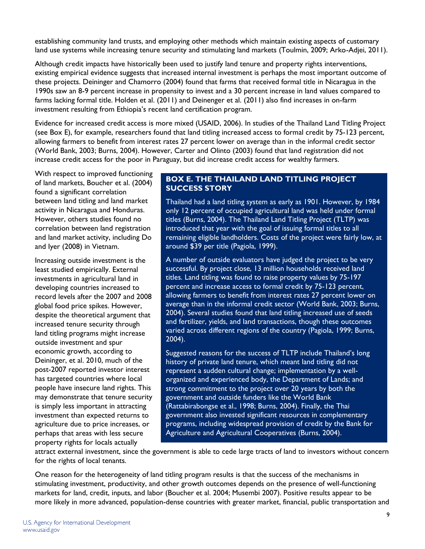establishing community land trusts, and employing other methods which maintain existing aspects of customary land use systems while increasing tenure security and stimulating land markets (Toulmin, 2009; Arko-Adjei, 2011).

Although credit impacts have historically been used to justify land tenure and property rights interventions, existing empirical evidence suggests that increased internal investment is perhaps the most important outcome of these projects. Deininger and Chamorro (2004) found that farms that received formal title in Nicaragua in the 1990s saw an 8-9 percent increase in propensity to invest and a 30 percent increase in land values compared to farms lacking formal title. Holden et al. (2011) and Deinenger et al. (2011) also find increases in on-farm investment resulting from Ethiopia's recent land certification program.

Evidence for increased credit access is more mixed (USAID, 2006). In studies of the Thailand Land Titling Project (see Box E), for example, researchers found that land titling increased access to formal credit by 75-123 percent, allowing farmers to benefit from interest rates 27 percent lower on average than in the informal credit sector (World Bank, 2003; Burns, 2004). However, Carter and Olinto (2003) found that land registration did not increase credit access for the poor in Paraguay, but did increase credit access for wealthy farmers.

With respect to improved functioning of land markets, Boucher et al. (2004) found a significant correlation between land titling and land market activity in Nicaragua and Honduras. However, others studies found no correlation between land registration and land market activity, including Do and Iyer (2008) in Vietnam.

Increasing outside investment is the least studied empirically. External investments in agricultural land in developing countries increased to record levels after the 2007 and 2008 global food price spikes. However, despite the theoretical argument that increased tenure security through land titling programs might increase outside investment and spur economic growth, according to Deininger, et al. 2010, much of the post-2007 reported investor interest has targeted countries where local people have insecure land rights. This may demonstrate that tenure security is simply less important in attracting investment than expected returns to agriculture due to price increases, or perhaps that areas with less secure property rights for locals actually

## **BOX E. THE THAILAND LAND TITLING PROJECT SUCCESS STORY**

Thailand had a land titling system as early as 1901. However, by 1984 only 12 percent of occupied agricultural land was held under formal titles (Burns, 2004). The Thailand Land Titling Project (TLTP) was introduced that year with the goal of issuing formal titles to all remaining eligible landholders. Costs of the project were fairly low, at around \$39 per title (Pagiola, 1999).

A number of outside evaluators have judged the project to be very successful. By project close, 13 million households received land titles. Land titling was found to raise property values by 75-197 percent and increase access to formal credit by 75-123 percent, allowing farmers to benefit from interest rates 27 percent lower on average than in the informal credit sector (World Bank, 2003; Burns, 2004). Several studies found that land titling increased use of seeds and fertilizer, yields, and land transactions, though these outcomes varied across different regions of the country (Pagiola, 1999; Burns, 2004).

Suggested reasons for the success of TLTP include Thailand's long history of private land tenure, which meant land titling did not represent a sudden cultural change; implementation by a wellorganized and experienced body, the Department of Lands; and strong commitment to the project over 20 years by both the government and outside funders like the World Bank (Rattabirabongse et al., 1998; Burns, 2004). Finally, the Thai government also invested significant resources in complementary programs, including widespread provision of credit by the Bank for Agriculture and Agricultural Cooperatives (Burns, 2004).

attract external investment, since the government is able to cede large tracts of land to investors without concern for the rights of local tenants.

One reason for the heterogeneity of land titling program results is that the success of the mechanisms in stimulating investment, productivity, and other growth outcomes depends on the presence of well-functioning markets for land, credit, inputs, and labor (Boucher et al. 2004; Musembi 2007). Positive results appear to be more likely in more advanced, population-dense countries with greater market, financial, public transportation and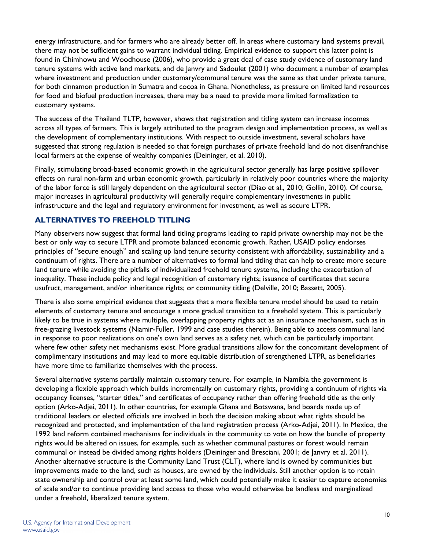energy infrastructure, and for farmers who are already better off. In areas where customary land systems prevail, there may not be sufficient gains to warrant individual titling. Empirical evidence to support this latter point is found in Chimhowu and Woodhouse (2006), who provide a great deal of case study evidence of customary land tenure systems with active land markets, and de Janvry and Sadoulet (2001) who document a number of examples where investment and production under customary/communal tenure was the same as that under private tenure, for both cinnamon production in Sumatra and cocoa in Ghana. Nonetheless, as pressure on limited land resources for food and biofuel production increases, there may be a need to provide more limited formalization to customary systems.

The success of the Thailand TLTP, however, shows that registration and titling system can increase incomes across all types of farmers. This is largely attributed to the program design and implementation process, as well as the development of complementary institutions. With respect to outside investment, several scholars have suggested that strong regulation is needed so that foreign purchases of private freehold land do not disenfranchise local farmers at the expense of wealthy companies (Deininger, et al. 2010).

Finally, stimulating broad-based economic growth in the agricultural sector generally has large positive spillover effects on rural non-farm and urban economic growth, particularly in relatively poor countries where the majority of the labor force is still largely dependent on the agricultural sector (Diao et al., 2010; Gollin, 2010). Of course, major increases in agricultural productivity will generally require complementary investments in public infrastructure and the legal and regulatory environment for investment, as well as secure LTPR.

## **ALTERNATIVES TO FREEHOLD TITLING**

Many observers now suggest that formal land titling programs leading to rapid private ownership may not be the best or only way to secure LTPR and promote balanced economic growth. Rather, USAID policy endorses principles of "secure enough" and scaling up land tenure security consistent with affordability, sustainability and a continuum of rights. There are a number of alternatives to formal land titling that can help to create more secure land tenure while avoiding the pitfalls of individualized freehold tenure systems, including the exacerbation of inequality. These include policy and legal recognition of customary rights; issuance of certificates that secure usufruct, management, and/or inheritance rights; or community titling (Delville, 2010; Bassett, 2005).

There is also some empirical evidence that suggests that a more flexible tenure model should be used to retain elements of customary tenure and encourage a more gradual transition to a freehold system. This is particularly likely to be true in systems where multiple, overlapping property rights act as an insurance mechanism, such as in free-grazing livestock systems (Niamir-Fuller, 1999 and case studies therein). Being able to access communal land in response to poor realizations on one's own land serves as a safety net, which can be particularly important where few other safety net mechanisms exist. More gradual transitions allow for the concomitant development of complimentary institutions and may lead to more equitable distribution of strengthened LTPR, as beneficiaries have more time to familiarize themselves with the process.

Several alternative systems partially maintain customary tenure. For example, in Namibia the government is developing a flexible approach which builds incrementally on customary rights, providing a continuum of rights via occupancy licenses, "starter titles," and certificates of occupancy rather than offering freehold title as the only option (Arko-Adjei, 2011). In other countries, for example Ghana and Botswana, land boards made up of traditional leaders or elected officials are involved in both the decision making about what rights should be recognized and protected, and implementation of the land registration process (Arko-Adjei, 2011). In Mexico, the 1992 land reform contained mechanisms for individuals in the community to vote on how the bundle of property rights would be altered on issues, for example, such as whether communal pastures or forest would remain communal or instead be divided among rights holders (Deininger and Bresciani, 2001; de Janvry et al. 2011). Another alternative structure is the Community Land Trust (CLT), where land is owned by communities but improvements made to the land, such as houses, are owned by the individuals. Still another option is to retain state ownership and control over at least some land, which could potentially make it easier to capture economies of scale and/or to continue providing land access to those who would otherwise be landless and marginalized under a freehold, liberalized tenure system.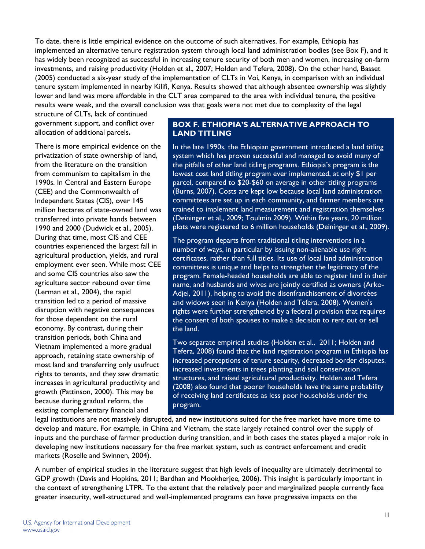To date, there is little empirical evidence on the outcome of such alternatives. For example, Ethiopia has implemented an alternative tenure registration system through local land administration bodies (see Box F), and it has widely been recognized as successful in increasing tenure security of both men and women, increasing on-farm investments, and raising productivity (Holden et al., 2007; Holden and Tefera, 2008). On the other hand, Basset (2005) conducted a six-year study of the implementation of CLTs in Voi, Kenya, in comparison with an individual tenure system implemented in nearby Kilifi, Kenya. Results showed that although absentee ownership was slightly lower and land was more affordable in the CLT area compared to the area with individual tenure, the positive results were weak, and the overall conclusion was that goals were not met due to complexity of the legal

structure of CLTs, lack of continued government support, and conflict over allocation of additional parcels**.** 

There is more empirical evidence on the privatization of state ownership of land, from the literature on the transition from communism to capitalism in the 1990s. In Central and Eastern Europe (CEE) and the Commonwealth of Independent States (CIS), over 145 million hectares of state-owned land was transferred into private hands between 1990 and 2000 (Dudwick et al., 2005). During that time, most CIS and CEE countries experienced the largest fall in agricultural production, yields, and rural employment ever seen. While most CEE and some CIS countries also saw the agriculture sector rebound over time (Lerman et al., 2004), the rapid transition led to a period of massive disruption with negative consequences for those dependent on the rural economy. By contrast, during their transition periods, both China and Vietnam implemented a more gradual approach, retaining state ownership of most land and transferring only usufruct rights to tenants, and they saw dramatic increases in agricultural productivity and growth (Pattinson, 2000). This may be because during gradual reform, the existing complementary financial and

## **BOX F. ETHIOPIA'S ALTERNATIVE APPROACH TO LAND TITLING**

In the late 1990s, the Ethiopian government introduced a land titling system which has proven successful and managed to avoid many of the pitfalls of other land titling programs. Ethiopia's program is the lowest cost land titling program ever implemented, at only \$1 per parcel, compared to \$20-\$60 on average in other titling programs (Burns, 2007). Costs are kept low because local land administration committees are set up in each community, and farmer members are trained to implement land measurement and registration themselves (Deininger et al., 2009; Toulmin 2009). Within five years, 20 million plots were registered to 6 million households (Deininger et al., 2009).

The program departs from traditional titling interventions in a number of ways, in particular by issuing non-alienable use right certificates, rather than full titles. Its use of local land administration committees is unique and helps to strengthen the legitimacy of the program. Female-headed households are able to register land in their name, and husbands and wives are jointly certified as owners (Arko-Adjei, 2011), helping to avoid the disenfranchisement of divorcées and widows seen in Kenya (Holden and Tefera, 2008). Women's rights were further strengthened by a federal provision that requires the consent of both spouses to make a decision to rent out or sell the land.

Two separate empirical studies (Holden et al., 2011; Holden and Tefera, 2008) found that the land registration program in Ethiopia has increased perceptions of tenure security, decreased border disputes, increased investments in trees planting and soil conservation structures, and raised agricultural productivity. Holden and Tefera (2008) also found that poorer households have the same probability of receiving land certificates as less poor households under the program.

legal institutions are not massively disrupted, and new institutions suited for the free market have more time to develop and mature. For example, in China and Vietnam, the state largely retained control over the supply of inputs and the purchase of farmer production during transition, and in both cases the states played a major role in developing new institutions necessary for the free market system, such as contract enforcement and credit markets (Roselle and Swinnen, 2004).

A number of empirical studies in the literature suggest that high levels of inequality are ultimately detrimental to GDP growth (Davis and Hopkins, 2011; Bardhan and Mookherjee, 2006). This insight is particularly important in the context of strengthening LTPR. To the extent that the relatively poor and marginalized people currently face greater insecurity, well-structured and well-implemented programs can have progressive impacts on the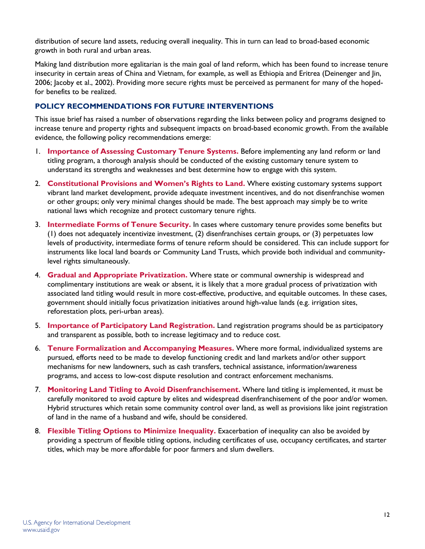distribution of secure land assets, reducing overall inequality. This in turn can lead to broad-based economic growth in both rural and urban areas.

Making land distribution more egalitarian is the main goal of land reform, which has been found to increase tenure insecurity in certain areas of China and Vietnam, for example, as well as Ethiopia and Eritrea (Deinenger and Jin, 2006; Jacoby et al., 2002). Providing more secure rights must be perceived as permanent for many of the hopedfor benefits to be realized.

## **POLICY RECOMMENDATIONS FOR FUTURE INTERVENTIONS**

This issue brief has raised a number of observations regarding the links between policy and programs designed to increase tenure and property rights and subsequent impacts on broad-based economic growth. From the available evidence, the following policy recommendations emerge:

- 1. **Importance of Assessing Customary Tenure Systems.** Before implementing any land reform or land titling program, a thorough analysis should be conducted of the existing customary tenure system to understand its strengths and weaknesses and best determine how to engage with this system.
- 2. **Constitutional Provisions and Women's Rights to Land.** Where existing customary systems support vibrant land market development, provide adequate investment incentives, and do not disenfranchise women or other groups; only very minimal changes should be made. The best approach may simply be to write national laws which recognize and protect customary tenure rights.
- 3. **Intermediate Forms of Tenure Security.** In cases where customary tenure provides some benefits but (1) does not adequately incentivize investment, (2) disenfranchises certain groups, or (3) perpetuates low levels of productivity, intermediate forms of tenure reform should be considered. This can include support for instruments like local land boards or Community Land Trusts, which provide both individual and communitylevel rights simultaneously.
- 4. **Gradual and Appropriate Privatization.** Where state or communal ownership is widespread and complimentary institutions are weak or absent, it is likely that a more gradual process of privatization with associated land titling would result in more cost-effective, productive, and equitable outcomes. In these cases, government should initially focus privatization initiatives around high-value lands (e.g. irrigation sites, reforestation plots, peri-urban areas).
- 5. **Importance of Participatory Land Registration.** Land registration programs should be as participatory and transparent as possible, both to increase legitimacy and to reduce cost.
- 6. **Tenure Formalization and Accompanying Measures.** Where more formal, individualized systems are pursued, efforts need to be made to develop functioning credit and land markets and/or other support mechanisms for new landowners, such as cash transfers, technical assistance, information/awareness programs, and access to low-cost dispute resolution and contract enforcement mechanisms.
- 7. **Monitoring Land Titling to Avoid Disenfranchisement.** Where land titling is implemented, it must be carefully monitored to avoid capture by elites and widespread disenfranchisement of the poor and/or women. Hybrid structures which retain some community control over land, as well as provisions like joint registration of land in the name of a husband and wife, should be considered.
- 8. **Flexible Titling Options to Minimize Inequality.** Exacerbation of inequality can also be avoided by providing a spectrum of flexible titling options, including certificates of use, occupancy certificates, and starter titles, which may be more affordable for poor farmers and slum dwellers.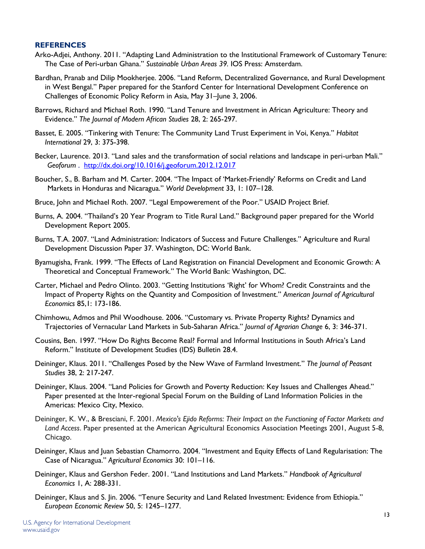#### **REFERENCES**

- Arko-Adjei, Anthony. 2011. "Adapting Land Administration to the Institutional Framework of Customary Tenure: The Case of Peri-urban Ghana." *Sustainable Urban Areas 39.* IOS Press: Amsterdam.
- Bardhan, Pranab and Dilip Mookherjee. 2006. "Land Reform, Decentralized Governance, and Rural Development in West Bengal." Paper prepared for the Stanford Center for International Development Conference on Challenges of Economic Policy Reform in Asia, May 31–June 3, 2006.
- Barrows, Richard and Michael Roth. 1990. "Land Tenure and Investment in African Agriculture: Theory and Evidence." *The Journal of Modern African Studies* 28, 2: 265-297.
- Basset, E. 2005. "Tinkering with Tenure: The Community Land Trust Experiment in Voi, Kenya." *Habitat International* 29, 3: 375-398.
- Becker, Laurence. 2013. "Land sales and the transformation of social relations and landscape in peri-urban Mali." *Geoforum* . <http://dx.doi.org/10.1016/j.geoforum.2012.12.017>
- Boucher, S., B. Barham and M. Carter. 2004. "The Impact of 'Market-Friendly' Reforms on Credit and Land Markets in Honduras and Nicaragua." *World Development* 33, 1: 107–128.
- Bruce, John and Michael Roth. 2007. "Legal Empowerement of the Poor." USAID Project Brief.
- Burns, A. 2004. "Thailand's 20 Year Program to Title Rural Land." Background paper prepared for the World Development Report 2005.
- Burns, T.A. 2007. "Land Administration: Indicators of Success and Future Challenges." Agriculture and Rural Development Discussion Paper 37. Washington, DC: World Bank.
- Byamugisha, Frank. 1999. "The Effects of Land Registration on Financial Development and Economic Growth: A Theoretical and Conceptual Framework." The World Bank: Washington, DC.
- Carter, Michael and Pedro Olinto. 2003. "Getting Institutions 'Right' for Whom? Credit Constraints and the Impact of Property Rights on the Quantity and Composition of Investment." *American Journal of Agricultural Economics* 85,1: 173-186.
- Chimhowu, Admos and Phil Woodhouse. 2006. "Customary vs. Private Property Rights? Dynamics and Trajectories of Vernacular Land Markets in Sub-Saharan Africa." *Journal of Agrarian Change* 6, 3: 346-371.
- Cousins, Ben. 1997. "How Do Rights Become Real? Formal and Informal Institutions in South Africa's Land Reform." Institute of Development Studies (IDS) Bulletin 28.4.
- Deininger, Klaus. 2011. "Challenges Posed by the New Wave of Farmland Investment." *The Journal of Peasant Studies* 38, 2: 217-247.
- Deininger, Klaus. 2004. "Land Policies for Growth and Poverty Reduction: Key Issues and Challenges Ahead." Paper presented at the Inter-regional Special Forum on the Building of Land Information Policies in the Americas: Mexico City, Mexico.
- Deininger, K. W., & Bresciani, F. 2001. *Mexico's Ejido Reforms: Their Impact on the Functioning of Factor Markets and Land Access*. Paper presented at the American Agricultural Economics Association Meetings 2001, August 5-8, Chicago.
- Deininger, Klaus and Juan Sebastian Chamorro. 2004. "Investment and Equity Effects of Land Regularisation: The Case of Nicaragua." *Agricultural Economics* 30: 101–116.
- Deininger, Klaus and Gershon Feder. 2001. "Land Institutions and Land Markets." *Handbook of Agricultural Economics* 1, A: 288-331.
- Deininger, Klaus and S. Jin. 2006. "Tenure Security and Land Related Investment: Evidence from Ethiopia." *European Economic Review* 50, 5: 1245–1277.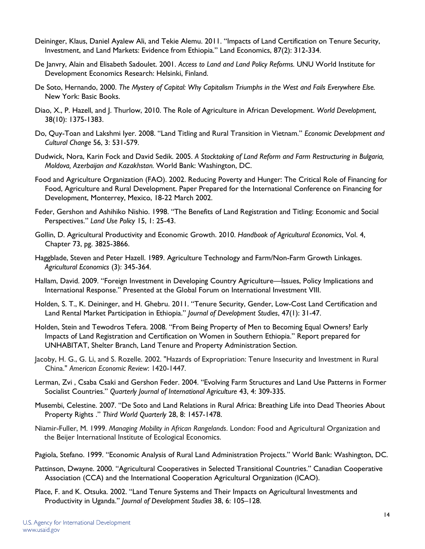- Deininger, Klaus, Daniel Ayalew Ali, and Tekie Alemu. 2011. "Impacts of Land Certification on Tenure Security, Investment, and Land Markets: Evidence from Ethiopia." Land Economics, 87(2): 312-334.
- De Janvry, Alain and Elisabeth Sadoulet. 2001. *Access to Land and Land Policy Reforms.* UNU World Institute for Development Economics Research: Helsinki, Finland.
- De Soto, Hernando, 2000. *The Mystery of Capital: Why Capitalism Triumphs in the West and Fails Everywhere Else.* New York: Basic Books.
- Diao, X., P. Hazell, and J. Thurlow, 2010. The Role of Agriculture in African Development. *World Development*, 38(10): 1375-1383.
- Do, Quy-Toan and Lakshmi Iyer. 2008. "Land Titling and Rural Transition in Vietnam." *Economic Development and Cultural Change* 56, 3: 531-579.
- Dudwick, Nora, Karin Fock and David Sedik. 2005. *A Stocktaking of Land Reform and Farm Restructuring in Bulgaria, Moldova, Azerbaijan and Kazakhstan.* World Bank: Washington, DC.
- Food and Agriculture Organization (FAO). 2002. Reducing Poverty and Hunger: The Critical Role of Financing for Food, Agriculture and Rural Development. Paper Prepared for the International Conference on Financing for Development, Monterrey, Mexico, 18-22 March 2002.
- Feder, Gershon and Ashihiko Nishio. 1998. "The Benefits of Land Registration and Titling: Economic and Social Perspectives." *Land Use Policy* 15, 1: 25-43.
- Gollin, D. Agricultural Productivity and Economic Growth. 2010. *Handbook of Agricultural Economics*, Vol. 4, Chapter 73, pg. 3825-3866.
- Haggblade, Steven and Peter Hazell. 1989. Agriculture Technology and Farm/Non-Farm Growth Linkages. *Agricultural Economics* (3): 345-364.
- Hallam, David. 2009. "Foreign Investment in Developing Country Agriculture—Issues, Policy Implications and International Response." Presented at the Global Forum on International Investment VIII.
- Holden, S. T., K. Deininger, and H. Ghebru. 2011. "Tenure Security, Gender, Low-Cost Land Certification and Land Rental Market Participation in Ethiopia." *Journal of Development Studies*, 47(1): 31-47.
- Holden, Stein and Tewodros Tefera. 2008. "From Being Property of Men to Becoming Equal Owners? Early Impacts of Land Registration and Certification on Women in Southern Ethiopia." Report prepared for UNHABITAT, Shelter Branch, Land Tenure and Property Administration Section.
- Jacoby, H. G., G. Li, and S. Rozelle. 2002. "Hazards of Expropriation: Tenure Insecurity and Investment in Rural China." *American Economic Review*: 1420-1447.
- Lerman, Zvi , Csaba Csaki and Gershon Feder. 2004. "Evolving Farm Structures and Land Use Patterns in Former Socialist Countries." *Quarterly Journal of International Agriculture* 43, 4: 309-335.
- Musembi, Celestine. 2007. "De Soto and Land Relations in Rural Africa: Breathing Life into Dead Theories About Property Rights ." *Third World Quarterly* 28, 8: 1457-1478.
- Niamir-Fuller, M. 1999. *Managing Mobility in African Rangelands*. London: Food and Agricultural Organization and the Beijer International Institute of Ecological Economics.
- Pagiola, Stefano. 1999. "Economic Analysis of Rural Land Administration Projects." World Bank: Washington, DC.
- Pattinson, Dwayne. 2000. "Agricultural Cooperatives in Selected Transitional Countries." Canadian Cooperative Association (CCA) and the International Cooperation Agricultural Organization (ICAO).
- Place, F. and K. Otsuka. 2002. "Land Tenure Systems and Their Impacts on Agricultural Investments and Productivity in Uganda." *Journal of Development Studies* 38, 6: 105–128.